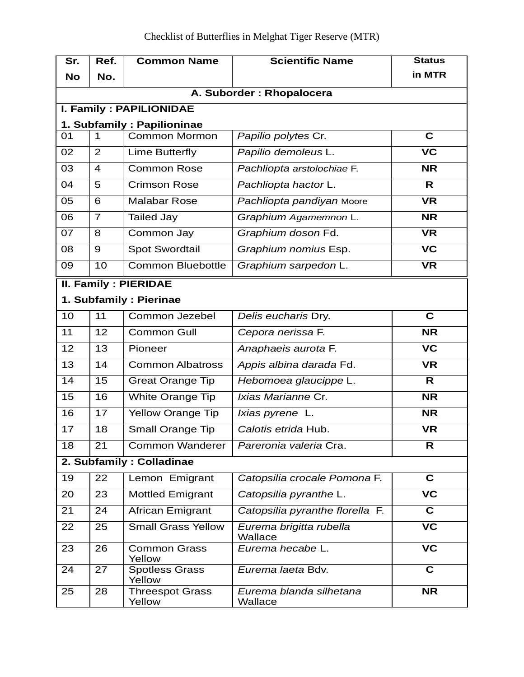| Sr.                      | Ref.                           | <b>Common Name</b>               | <b>Scientific Name</b>             | <b>Status</b>            |  |  |
|--------------------------|--------------------------------|----------------------------------|------------------------------------|--------------------------|--|--|
| <b>No</b>                | No.                            |                                  |                                    | in MTR                   |  |  |
| A. Suborder: Rhopalocera |                                |                                  |                                    |                          |  |  |
|                          | <b>I. Family: PAPILIONIDAE</b> |                                  |                                    |                          |  |  |
|                          |                                | 1. Subfamily: Papilioninae       |                                    |                          |  |  |
| 01                       | 1                              | <b>Common Mormon</b>             | Papilio polytes Cr.                | $\mathbf c$              |  |  |
| 02                       | $\overline{2}$                 | Lime Butterfly                   | Papilio demoleus L.                | <b>VC</b>                |  |  |
| 03                       | $\overline{4}$                 | <b>Common Rose</b>               | Pachliopta arstolochiae F.         | <b>NR</b>                |  |  |
| 04                       | 5                              | <b>Crimson Rose</b>              | Pachliopta hactor L.               | R.                       |  |  |
| 05                       | 6                              | <b>Malabar Rose</b>              | Pachliopta pandiyan Moore          | <b>VR</b>                |  |  |
| 06                       | $\overline{7}$                 | <b>Tailed Jay</b>                | Graphium Agamemnon L.              | <b>NR</b>                |  |  |
| 07                       | 8                              | Common Jay                       | Graphium doson Fd.                 | <b>VR</b>                |  |  |
| 08                       | 9                              | <b>Spot Swordtail</b>            | Graphium nomius Esp.               | $\overline{\mathsf{VC}}$ |  |  |
| 09                       | 10                             | <b>Common Bluebottle</b>         | Graphium sarpedon L.               | $\overline{\mathsf{VR}}$ |  |  |
|                          |                                | <b>II. Family: PIERIDAE</b>      |                                    |                          |  |  |
|                          |                                | 1. Subfamily: Pierinae           |                                    |                          |  |  |
| 10                       | 11                             | Common Jezebel                   | Delis eucharis Dry.                | $\overline{\mathbf{c}}$  |  |  |
| 11                       | 12                             | <b>Common Gull</b>               | Cepora nerissa F.                  | $\overline{\mathsf{NR}}$ |  |  |
| 12                       | 13                             | Pioneer                          | Anaphaeis aurota F.                | $\overline{\mathsf{VC}}$ |  |  |
| 13                       | 14                             | <b>Common Albatross</b>          | Appis albina darada Fd.            | <b>VR</b>                |  |  |
| 14                       | 15                             | <b>Great Orange Tip</b>          | Hebomoea glaucippe L.              | $\mathsf{R}$             |  |  |
| 15                       | 16                             | White Orange Tip                 | Ixias Marianne Cr.                 | <b>NR</b>                |  |  |
| 16                       | 17                             | <b>Yellow Orange Tip</b>         | Ixias pyrene L.                    | <b>NR</b>                |  |  |
| 17                       | 18                             | Small Orange Tip                 | Calotis etrida Hub.                | <b>VR</b>                |  |  |
| 18                       | 21                             | Common Wanderer                  | Pareronia valeria Cra.             | R                        |  |  |
|                          | 2. Subfamily: Colladinae       |                                  |                                    |                          |  |  |
| 19                       | 22                             | Lemon Emigrant                   | Catopsilia crocale Pomona F.       | $\overline{\mathbf{c}}$  |  |  |
| 20                       | 23                             | <b>Mottled Emigrant</b>          | Catopsilia pyranthe L.             | <b>VC</b>                |  |  |
| 21                       | 24                             | <b>African Emigrant</b>          | Catopsilia pyranthe florella F.    | $\mathbf c$              |  |  |
| 22                       | 25                             | <b>Small Grass Yellow</b>        | Eurema brigitta rubella<br>Wallace | $\overline{\mathsf{VC}}$ |  |  |
| 23                       | 26                             | <b>Common Grass</b><br>Yellow    | Eurema hecabe L.                   | $\overline{\mathsf{VC}}$ |  |  |
| 24                       | 27                             | <b>Spotless Grass</b><br>Yellow  | Eurema laeta Bdv.                  | $\mathbf C$              |  |  |
| 25                       | 28                             | <b>Threespot Grass</b><br>Yellow | Eurema blanda silhetana<br>Wallace | <b>NR</b>                |  |  |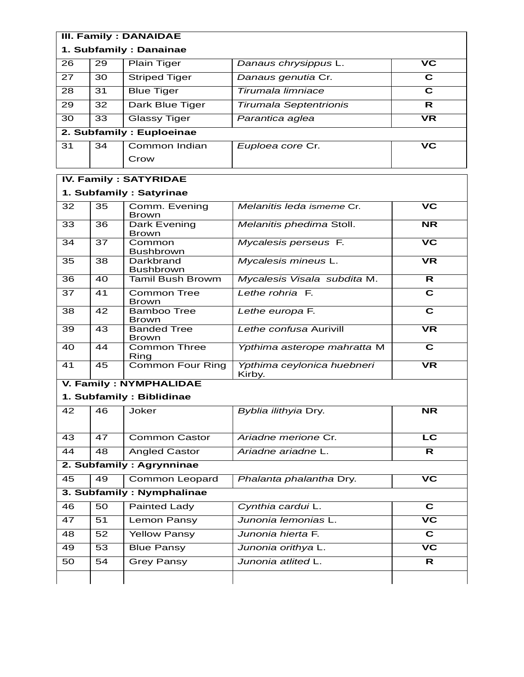| <b>III. Family: DANAIDAE</b> |             |                                    |                                      |                                   |  |
|------------------------------|-------------|------------------------------------|--------------------------------------|-----------------------------------|--|
| 1. Subfamily: Danainae       |             |                                    |                                      |                                   |  |
| 26                           | 29          | <b>Plain Tiger</b>                 | Danaus chrysippus L.                 | <b>VC</b>                         |  |
| 27                           | 30          | <b>Striped Tiger</b>               | Danaus genutia Cr.                   | C                                 |  |
| 28                           | 31          | <b>Blue Tiger</b>                  | Tirumala limniace                    | $\overline{\mathbf{c}}$           |  |
| 29                           | 32          | Dark Blue Tiger                    | <b>Tirumala Septentrionis</b>        | R                                 |  |
| 30                           | 33          | <b>Glassy Tiger</b>                | Parantica aglea                      | <b>VR</b>                         |  |
|                              |             | 2. Subfamily : Euploeinae          |                                      |                                   |  |
| 31                           | 34          | Common Indian                      | Euploea core Cr.                     | $\overline{\mathsf{VC}}$          |  |
|                              |             | Crow                               |                                      |                                   |  |
|                              |             | <b>IV. Family: SATYRIDAE</b>       |                                      |                                   |  |
|                              |             | 1. Subfamily: Satyrinae            |                                      |                                   |  |
| 32                           | 35          | Comm. Evening                      | Melanitis leda ismeme Cr.            | <b>VC</b>                         |  |
| 33                           | 36          | <b>Brown</b><br>Dark Evening       | Melanitis phedima Stoll.             | <b>NR</b>                         |  |
|                              |             | <b>Brown</b>                       |                                      |                                   |  |
| 34                           | 37          | Common<br><b>Bushbrown</b>         | Mycalesis perseus F.                 | $\overline{\mathsf{VC}}$          |  |
| 35                           | 38          | Darkbrand<br><b>Bushbrown</b>      | Mycalesis mineus L.                  | $\overline{\mathsf{VR}}$          |  |
| 36                           | 40          | <b>Tamil Bush Browm</b>            | Mycalesis Visala subdita M.          | R                                 |  |
| 37                           | 41          | <b>Common Tree</b><br><b>Brown</b> | Lethe rohria F.                      | $\overline{\mathbf{c}}$           |  |
| 38                           | 42          | <b>Bamboo Tree</b><br><b>Brown</b> | Lethe europa F.                      | $\overline{\mathbf{c}}$           |  |
| 39                           | 43          | <b>Banded Tree</b><br><b>Brown</b> | Lethe confusa Aurivill               | <b>VR</b>                         |  |
| 40                           | 44          | Common Three<br>Ring               | Ypthima asterope mahratta M          | $\overline{\mathbf{c}}$           |  |
| 41                           | 45          | <b>Common Four Ring</b>            | Ypthima ceylonica huebneri<br>Kirby. | <b>VR</b>                         |  |
|                              |             | <b>V. Family: NYMPHALIDAE</b>      |                                      |                                   |  |
|                              |             | 1. Subfamily: Biblidinae           |                                      |                                   |  |
|                              | 42 46 Joker |                                    | Byblia ilithyia Dry.                 | $\overline{\mathsf{NR}}$          |  |
| 43                           | 47          | <b>Common Castor</b>               | Ariadne merione Cr.                  | $\overline{\text{LC}}$            |  |
| 44                           | 48          | <b>Angled Castor</b>               | Ariadne ariadne L.                   | $\overline{\mathsf{R}}$           |  |
| 2. Subfamily: Agrynninae     |             |                                    |                                      |                                   |  |
| 45                           | 49          | Common Leopard                     | Phalanta phalantha Dry.              | $\overline{\mathsf{VC}}$          |  |
| 3. Subfamily: Nymphalinae    |             |                                    |                                      |                                   |  |
| 46                           | 50          | <b>Painted Lady</b>                | Cynthia cardui L.                    | C                                 |  |
| 47                           | 51          | Lemon Pansy                        | Junonia lemonias L.                  | $\overline{\mathbf{v}}$ c         |  |
| 48                           | 52          | <b>Yellow Pansy</b>                | Junonia hierta F.                    | $\overline{\mathbf{c}}$           |  |
| 49                           | 53          | <b>Blue Pansy</b>                  | Junonia orithya L.                   | $\overline{\mathsf{v}\mathsf{c}}$ |  |
| 50                           | 54          | <b>Grey Pansy</b>                  | Junonia atlited L.                   | R                                 |  |
|                              |             |                                    |                                      |                                   |  |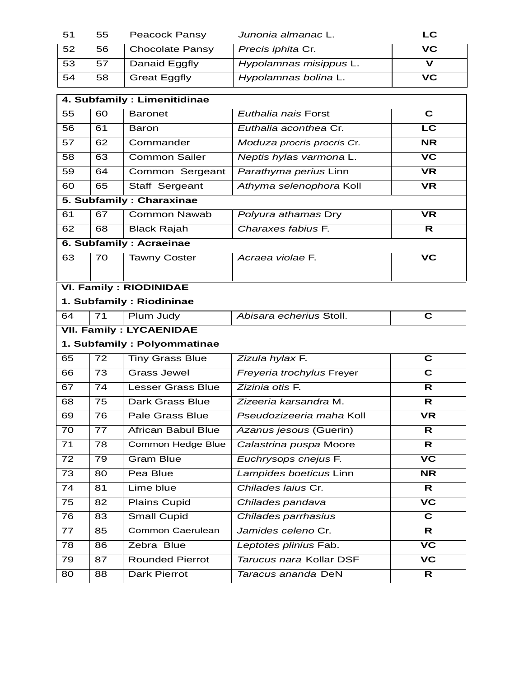| -51 | 55 | Peacock Pansy          | Junonia almanac L.     | LC  |
|-----|----|------------------------|------------------------|-----|
| 52  | 56 | <b>Chocolate Pansy</b> | Precis iphita Cr.      | VC. |
| 53  | 57 | Danaid Eggfly          | Hypolamnas misippus L. |     |
| 54  | 58 | <b>Great Eggfly</b>    | Hypolamnas bolina L.   | VC. |

| 4. Subfamily : Limenitidinae |                                |                               |                            |                                   |  |
|------------------------------|--------------------------------|-------------------------------|----------------------------|-----------------------------------|--|
| 55                           | 60                             | <b>Baronet</b>                | Euthalia nais Forst        | $\mathbf c$                       |  |
| 56                           | 61                             | Baron                         | Euthalia aconthea Cr.      | $\overline{\text{LC}}$            |  |
| 57                           | 62                             | Commander                     | Moduza procris procris Cr. | <b>NR</b>                         |  |
| 58                           | 63                             | <b>Common Sailer</b>          | Neptis hylas varmona L.    | $\overline{\mathsf{VC}}$          |  |
| 59                           | 64                             | Common Sergeant               | Parathyma perius Linn      | <b>VR</b>                         |  |
| 60                           | 65                             | Staff Sergeant                | Athyma selenophora Koll    | <b>VR</b>                         |  |
|                              |                                | 5. Subfamily: Charaxinae      |                            |                                   |  |
| 61                           | 67                             | <b>Common Nawab</b>           | Polyura athamas Dry        | <b>VR</b>                         |  |
| 62                           | 68                             | <b>Black Rajah</b>            | Charaxes fabius F.         | R                                 |  |
|                              |                                | 6. Subfamily: Acraeinae       |                            |                                   |  |
| 63                           | 70                             | <b>Tawny Coster</b>           | Acraea violae F.           | VC                                |  |
|                              |                                |                               |                            |                                   |  |
|                              |                                | <b>VI. Family: RIODINIDAE</b> |                            |                                   |  |
|                              |                                | 1. Subfamily: Riodininae      |                            |                                   |  |
| 64                           | 71                             | Plum Judy                     | Abisara echerius Stoll.    | $\overline{\mathbf{c}}$           |  |
|                              | <b>VII. Family: LYCAENIDAE</b> |                               |                            |                                   |  |
| 1. Subfamily: Polyommatinae  |                                |                               |                            |                                   |  |
|                              |                                |                               |                            |                                   |  |
| 65                           | 72                             | <b>Tiny Grass Blue</b>        | Zizula hylax F.            | $\overline{\mathbf{c}}$           |  |
| 66                           | 73                             | <b>Grass Jewel</b>            | Freyeria trochylus Freyer  | $\overline{\mathbf{c}}$           |  |
| 67                           | 74                             | <b>Lesser Grass Blue</b>      | Zizinia otis F.            | R                                 |  |
| 68                           | 75                             | Dark Grass Blue               | Zizeeria karsandra M.      | R                                 |  |
| 69                           | 76                             | <b>Pale Grass Blue</b>        | Pseudozizeeria maha Koll   | <b>VR</b>                         |  |
| 70                           | 77                             | <b>African Babul Blue</b>     | Azanus jesous (Guerin)     | $\mathsf{R}$                      |  |
| 71                           | 78                             | <b>Common Hedge Blue</b>      | Calastrina puspa Moore     | R                                 |  |
| 72                           | 79                             | <b>Gram Blue</b>              | Euchrysops cnejus F.       | $\overline{\mathsf{VC}}$          |  |
| 73                           | 80                             | Pea Blue                      | Lampides boeticus Linn     | <b>NR</b>                         |  |
| 74                           | 81                             | Lime blue                     | Chilades laius Cr.         | $\mathsf{R}$                      |  |
| 75                           | 82                             | Plains Cupid                  | Chilades pandava           | $\overline{\mathsf{VC}}$          |  |
| 76                           | 83                             | <b>Small Cupid</b>            | Chilades parrhasius        | $\overline{\mathbf{c}}$           |  |
| 77                           | 85                             | <b>Common Caerulean</b>       | Jamides celeno Cr.         | R                                 |  |
| 78                           | 86                             | Zebra Blue                    | Leptotes plinius Fab.      | $\overline{\mathsf{v}\mathsf{c}}$ |  |
| 79                           | 87                             | <b>Rounded Pierrot</b>        | Tarucus nara Kollar DSF    | $\overline{\mathsf{v}\mathsf{c}}$ |  |